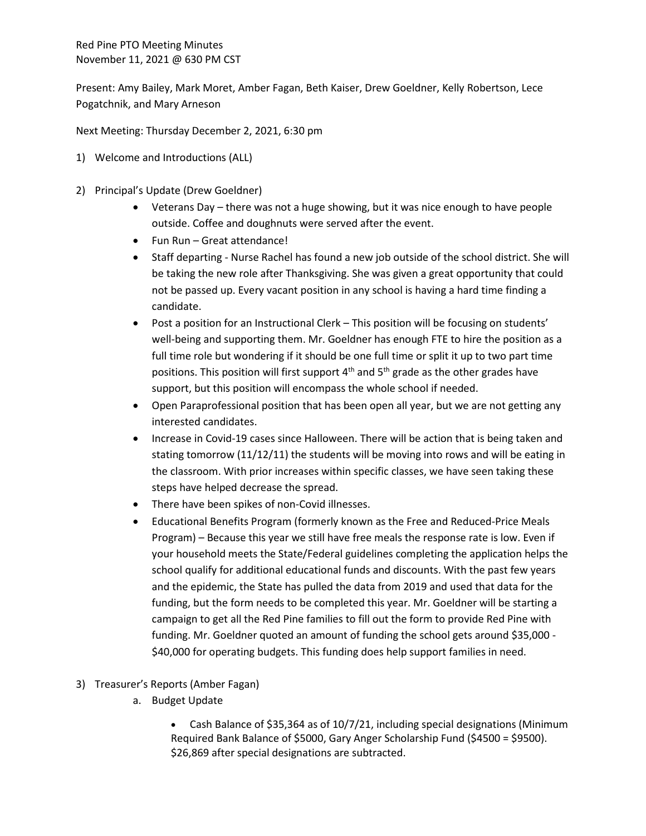Red Pine PTO Meeting Minutes November 11, 2021 @ 630 PM CST

Present: Amy Bailey, Mark Moret, Amber Fagan, Beth Kaiser, Drew Goeldner, Kelly Robertson, Lece Pogatchnik, and Mary Arneson

Next Meeting: Thursday December 2, 2021, 6:30 pm

- 1) Welcome and Introductions (ALL)
- 2) Principal's Update (Drew Goeldner)
	- Veterans Day there was not a huge showing, but it was nice enough to have people outside. Coffee and doughnuts were served after the event.
	- Fun Run Great attendance!
	- Staff departing Nurse Rachel has found a new job outside of the school district. She will be taking the new role after Thanksgiving. She was given a great opportunity that could not be passed up. Every vacant position in any school is having a hard time finding a candidate.
	- Post a position for an Instructional Clerk This position will be focusing on students' well-being and supporting them. Mr. Goeldner has enough FTE to hire the position as a full time role but wondering if it should be one full time or split it up to two part time positions. This position will first support  $4<sup>th</sup>$  and  $5<sup>th</sup>$  grade as the other grades have support, but this position will encompass the whole school if needed.
	- Open Paraprofessional position that has been open all year, but we are not getting any interested candidates.
	- Increase in Covid-19 cases since Halloween. There will be action that is being taken and stating tomorrow (11/12/11) the students will be moving into rows and will be eating in the classroom. With prior increases within specific classes, we have seen taking these steps have helped decrease the spread.
	- There have been spikes of non-Covid illnesses.
	- Educational Benefits Program (formerly known as the Free and Reduced-Price Meals Program) – Because this year we still have free meals the response rate is low. Even if your household meets the State/Federal guidelines completing the application helps the school qualify for additional educational funds and discounts. With the past few years and the epidemic, the State has pulled the data from 2019 and used that data for the funding, but the form needs to be completed this year. Mr. Goeldner will be starting a campaign to get all the Red Pine families to fill out the form to provide Red Pine with funding. Mr. Goeldner quoted an amount of funding the school gets around \$35,000 - \$40,000 for operating budgets. This funding does help support families in need.
- 3) Treasurer's Reports (Amber Fagan)
	- a. Budget Update
		- Cash Balance of \$35,364 as of 10/7/21, including special designations (Minimum Required Bank Balance of \$5000, Gary Anger Scholarship Fund (\$4500 = \$9500). \$26,869 after special designations are subtracted.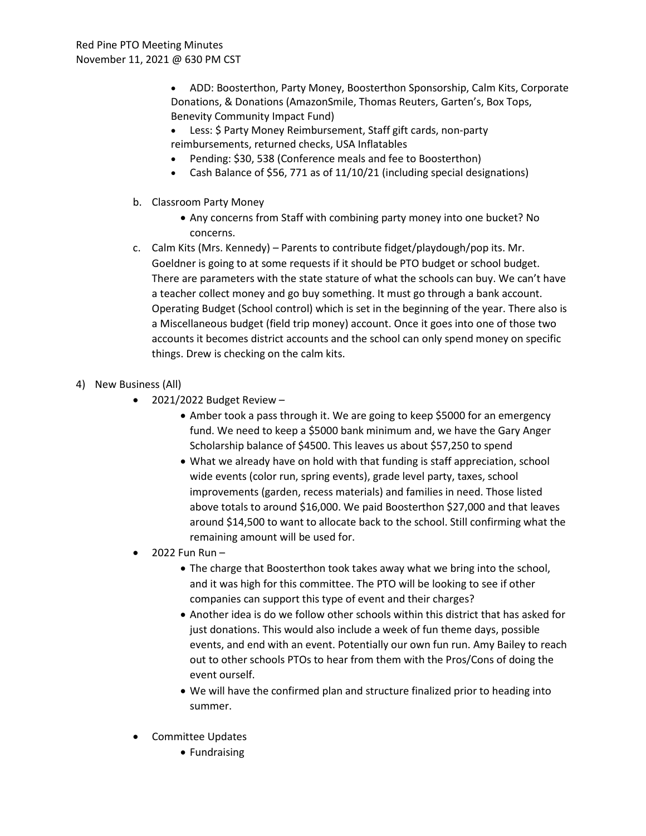• ADD: Boosterthon, Party Money, Boosterthon Sponsorship, Calm Kits, Corporate Donations, & Donations (AmazonSmile, Thomas Reuters, Garten's, Box Tops, Benevity Community Impact Fund)

- Less: \$ Party Money Reimbursement, Staff gift cards, non-party reimbursements, returned checks, USA Inflatables
- Pending: \$30, 538 (Conference meals and fee to Boosterthon)
- Cash Balance of \$56, 771 as of 11/10/21 (including special designations)
- b. Classroom Party Money
	- Any concerns from Staff with combining party money into one bucket? No concerns.
- c. Calm Kits (Mrs. Kennedy) Parents to contribute fidget/playdough/pop its. Mr. Goeldner is going to at some requests if it should be PTO budget or school budget. There are parameters with the state stature of what the schools can buy. We can't have a teacher collect money and go buy something. It must go through a bank account. Operating Budget (School control) which is set in the beginning of the year. There also is a Miscellaneous budget (field trip money) account. Once it goes into one of those two accounts it becomes district accounts and the school can only spend money on specific things. Drew is checking on the calm kits.
- 4) New Business (All)
	- $\bullet$  2021/2022 Budget Review -
		- Amber took a pass through it. We are going to keep \$5000 for an emergency fund. We need to keep a \$5000 bank minimum and, we have the Gary Anger Scholarship balance of \$4500. This leaves us about \$57,250 to spend
		- What we already have on hold with that funding is staff appreciation, school wide events (color run, spring events), grade level party, taxes, school improvements (garden, recess materials) and families in need. Those listed above totals to around \$16,000. We paid Boosterthon \$27,000 and that leaves around \$14,500 to want to allocate back to the school. Still confirming what the remaining amount will be used for.
	- $\bullet$  2022 Fun Run -
		- The charge that Boosterthon took takes away what we bring into the school, and it was high for this committee. The PTO will be looking to see if other companies can support this type of event and their charges?
		- Another idea is do we follow other schools within this district that has asked for just donations. This would also include a week of fun theme days, possible events, and end with an event. Potentially our own fun run. Amy Bailey to reach out to other schools PTOs to hear from them with the Pros/Cons of doing the event ourself.
		- We will have the confirmed plan and structure finalized prior to heading into summer.
	- Committee Updates
		- Fundraising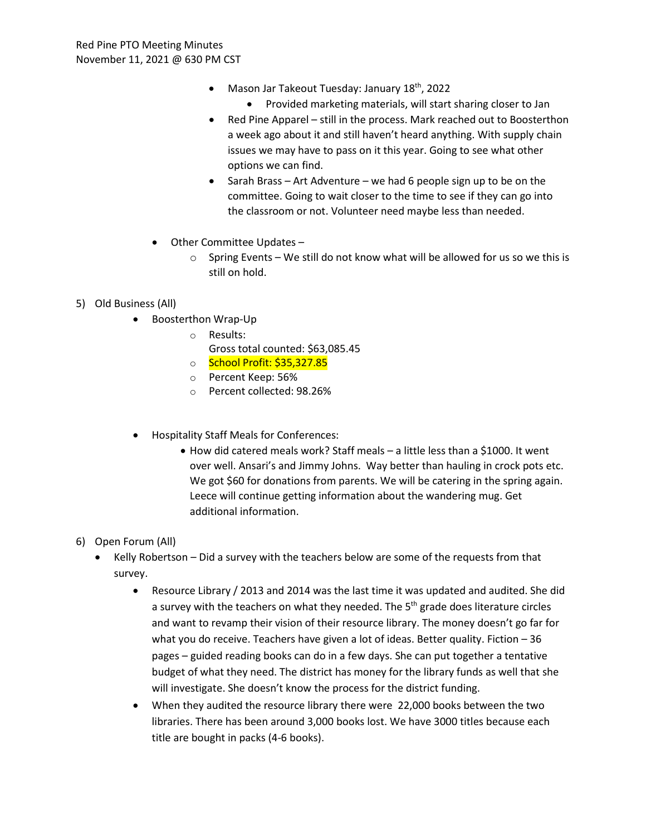- Mason Jar Takeout Tuesday: January  $18<sup>th</sup>$ , 2022
	- Provided marketing materials, will start sharing closer to Jan
- Red Pine Apparel still in the process. Mark reached out to Boosterthon a week ago about it and still haven't heard anything. With supply chain issues we may have to pass on it this year. Going to see what other options we can find.
- Sarah Brass Art Adventure we had 6 people sign up to be on the committee. Going to wait closer to the time to see if they can go into the classroom or not. Volunteer need maybe less than needed.
- Other Committee Updates
	- $\circ$  Spring Events We still do not know what will be allowed for us so we this is still on hold.
- 5) Old Business (All)
	- Boosterthon Wrap-Up
		- o Results:
			- Gross total counted: \$63,085.45
		- o School Profit: \$35,327.85
		- o Percent Keep: 56%
		- o Percent collected: 98.26%
	- Hospitality Staff Meals for Conferences:
		- How did catered meals work? Staff meals a little less than a \$1000. It went over well. Ansari's and Jimmy Johns. Way better than hauling in crock pots etc. We got \$60 for donations from parents. We will be catering in the spring again. Leece will continue getting information about the wandering mug. Get additional information.

## 6) Open Forum (All)

- Kelly Robertson Did a survey with the teachers below are some of the requests from that survey.
	- Resource Library / 2013 and 2014 was the last time it was updated and audited. She did a survey with the teachers on what they needed. The 5<sup>th</sup> grade does literature circles and want to revamp their vision of their resource library. The money doesn't go far for what you do receive. Teachers have given a lot of ideas. Better quality. Fiction – 36 pages – guided reading books can do in a few days. She can put together a tentative budget of what they need. The district has money for the library funds as well that she will investigate. She doesn't know the process for the district funding.
	- When they audited the resource library there were 22,000 books between the two libraries. There has been around 3,000 books lost. We have 3000 titles because each title are bought in packs (4-6 books).